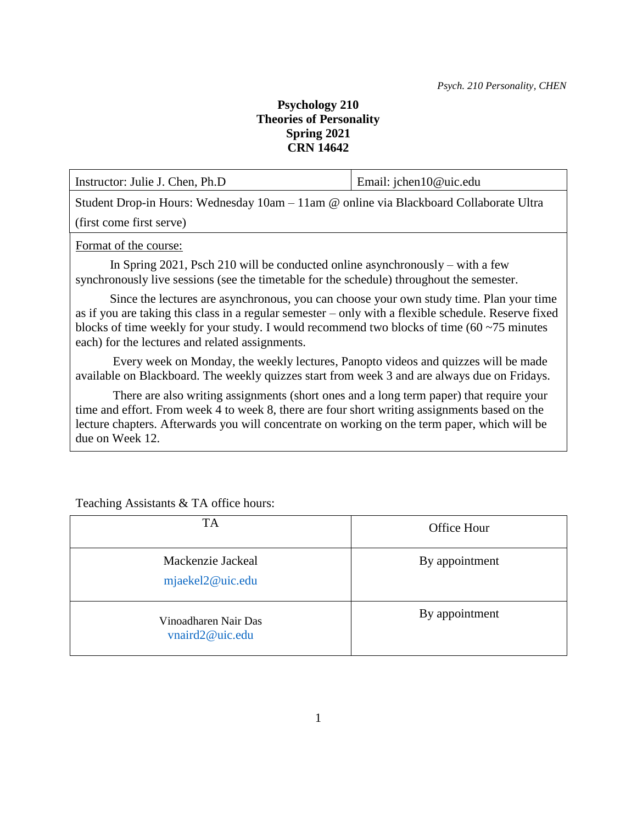## **Psychology 210 Theories of Personality Spring 2021 CRN 14642**

Instructor: Julie J. Chen, Ph.D Email: jchen10@uic.edu Student Drop-in Hours: Wednesday 10am – 11am @ online via Blackboard Collaborate Ultra

(first come first serve)

Format of the course:

 In Spring 2021, Psch 210 will be conducted online asynchronously – with a few synchronously live sessions (see the timetable for the schedule) throughout the semester.

 Since the lectures are asynchronous, you can choose your own study time. Plan your time as if you are taking this class in a regular semester – only with a flexible schedule. Reserve fixed blocks of time weekly for your study. I would recommend two blocks of time (60 ~75 minutes each) for the lectures and related assignments.

 Every week on Monday, the weekly lectures, Panopto videos and quizzes will be made available on Blackboard. The weekly quizzes start from week 3 and are always due on Fridays.

 There are also writing assignments (short ones and a long term paper) that require your time and effort. From week 4 to week 8, there are four short writing assignments based on the lecture chapters. Afterwards you will concentrate on working on the term paper, which will be due on Week 12.

Teaching Assistants & TA office hours:

| <b>TA</b>                               | <b>Office Hour</b> |
|-----------------------------------------|--------------------|
| Mackenzie Jackeal<br>mjaekel2@uic.edu   | By appointment     |
| Vinoadharen Nair Das<br>vnaird2@uic.edu | By appointment     |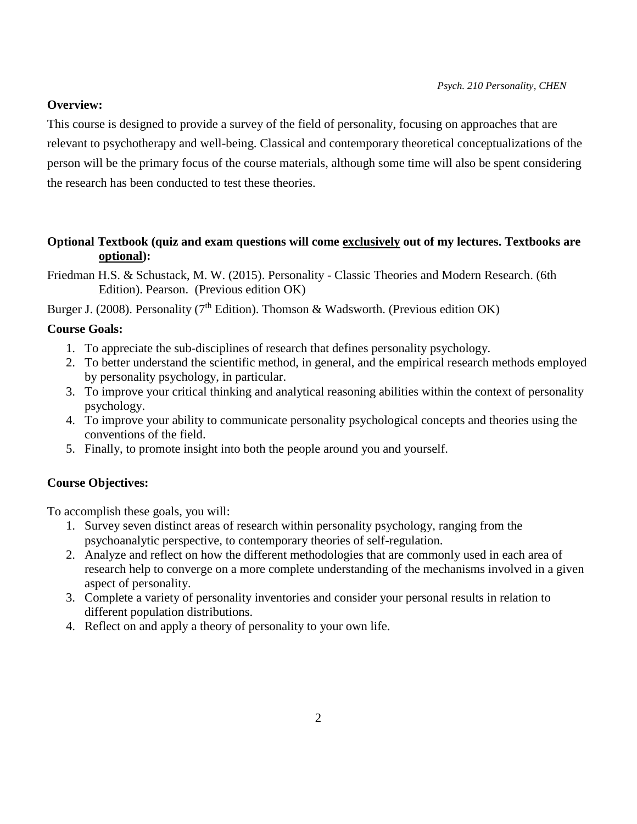## **Overview:**

This course is designed to provide a survey of the field of personality, focusing on approaches that are relevant to psychotherapy and well-being. Classical and contemporary theoretical conceptualizations of the person will be the primary focus of the course materials, although some time will also be spent considering the research has been conducted to test these theories.

## **Optional Textbook (quiz and exam questions will come exclusively out of my lectures. Textbooks are optional):**

Friedman H.S. & Schustack, M. W. (2015). Personality - Classic Theories and Modern Research. (6th Edition). Pearson. (Previous edition OK)

Burger J. (2008). Personality (7<sup>th</sup> Edition). Thomson & Wadsworth. (Previous edition OK)

## **Course Goals:**

- 1. To appreciate the sub-disciplines of research that defines personality psychology.
- 2. To better understand the scientific method, in general, and the empirical research methods employed by personality psychology, in particular.
- 3. To improve your critical thinking and analytical reasoning abilities within the context of personality psychology.
- 4. To improve your ability to communicate personality psychological concepts and theories using the conventions of the field.
- 5. Finally, to promote insight into both the people around you and yourself.

## **Course Objectives:**

To accomplish these goals, you will:

- 1. Survey seven distinct areas of research within personality psychology, ranging from the psychoanalytic perspective, to contemporary theories of self-regulation.
- 2. Analyze and reflect on how the different methodologies that are commonly used in each area of research help to converge on a more complete understanding of the mechanisms involved in a given aspect of personality.
- 3. Complete a variety of personality inventories and consider your personal results in relation to different population distributions.
- 4. Reflect on and apply a theory of personality to your own life.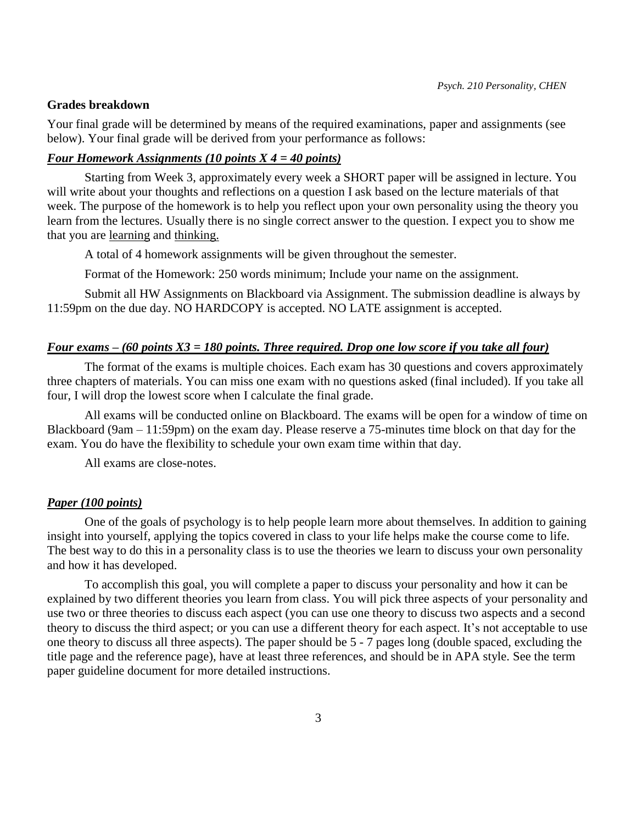#### **Grades breakdown**

Your final grade will be determined by means of the required examinations, paper and assignments (see below). Your final grade will be derived from your performance as follows:

## *Four Homework Assignments (10 points X 4 = 40 points)*

Starting from Week 3, approximately every week a SHORT paper will be assigned in lecture. You will write about your thoughts and reflections on a question I ask based on the lecture materials of that week. The purpose of the homework is to help you reflect upon your own personality using the theory you learn from the lectures. Usually there is no single correct answer to the question. I expect you to show me that you are learning and thinking.

A total of 4 homework assignments will be given throughout the semester.

Format of the Homework: 250 words minimum; Include your name on the assignment.

Submit all HW Assignments on Blackboard via Assignment. The submission deadline is always by 11:59pm on the due day. NO HARDCOPY is accepted. NO LATE assignment is accepted.

#### *Four exams – (60 points X3 = 180 points. Three required. Drop one low score if you take all four)*

The format of the exams is multiple choices. Each exam has 30 questions and covers approximately three chapters of materials. You can miss one exam with no questions asked (final included). If you take all four, I will drop the lowest score when I calculate the final grade.

All exams will be conducted online on Blackboard. The exams will be open for a window of time on Blackboard (9am – 11:59pm) on the exam day. Please reserve a 75-minutes time block on that day for the exam. You do have the flexibility to schedule your own exam time within that day.

All exams are close-notes.

#### *Paper (100 points)*

One of the goals of psychology is to help people learn more about themselves. In addition to gaining insight into yourself, applying the topics covered in class to your life helps make the course come to life. The best way to do this in a personality class is to use the theories we learn to discuss your own personality and how it has developed.

To accomplish this goal, you will complete a paper to discuss your personality and how it can be explained by two different theories you learn from class. You will pick three aspects of your personality and use two or three theories to discuss each aspect (you can use one theory to discuss two aspects and a second theory to discuss the third aspect; or you can use a different theory for each aspect. It's not acceptable to use one theory to discuss all three aspects). The paper should be 5 - 7 pages long (double spaced, excluding the title page and the reference page), have at least three references, and should be in APA style. See the term paper guideline document for more detailed instructions.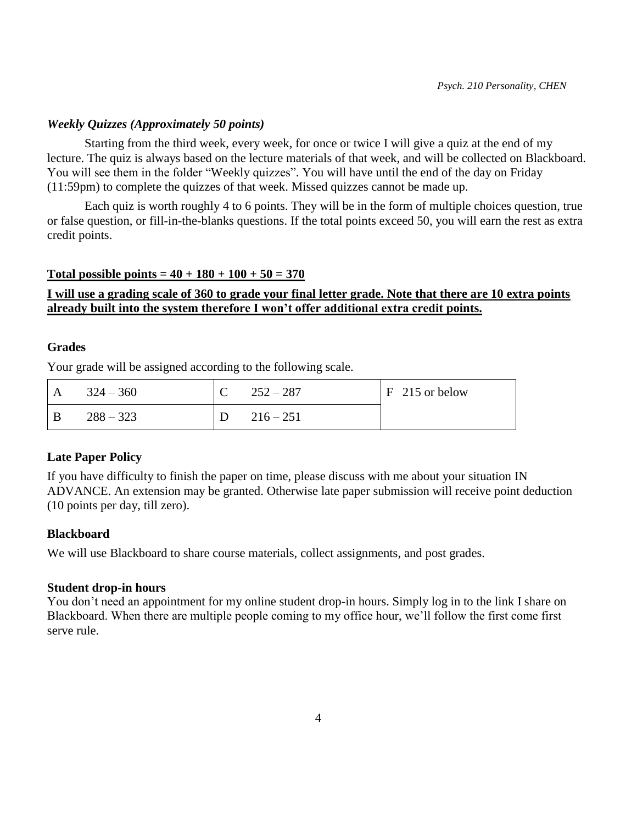## *Weekly Quizzes (Approximately 50 points)*

Starting from the third week, every week, for once or twice I will give a quiz at the end of my lecture. The quiz is always based on the lecture materials of that week, and will be collected on Blackboard. You will see them in the folder "Weekly quizzes". You will have until the end of the day on Friday (11:59pm) to complete the quizzes of that week. Missed quizzes cannot be made up.

Each quiz is worth roughly 4 to 6 points. They will be in the form of multiple choices question, true or false question, or fill-in-the-blanks questions. If the total points exceed 50, you will earn the rest as extra credit points.

#### **Total possible points =**  $40 + 180 + 100 + 50 = 370$

## **I will use a grading scale of 360 to grade your final letter grade. Note that there are 10 extra points already built into the system therefore I won't offer additional extra credit points.**

## **Grades**

Your grade will be assigned according to the following scale.

| A   | $324 - 360$ | $252 - 287$ | $F$ 215 or below |
|-----|-------------|-------------|------------------|
| - B | $288 - 323$ | $216 - 251$ |                  |

## **Late Paper Policy**

If you have difficulty to finish the paper on time, please discuss with me about your situation IN ADVANCE. An extension may be granted. Otherwise late paper submission will receive point deduction (10 points per day, till zero).

## **Blackboard**

We will use Blackboard to share course materials, collect assignments, and post grades.

## **Student drop-in hours**

You don't need an appointment for my online student drop-in hours. Simply log in to the link I share on Blackboard. When there are multiple people coming to my office hour, we'll follow the first come first serve rule.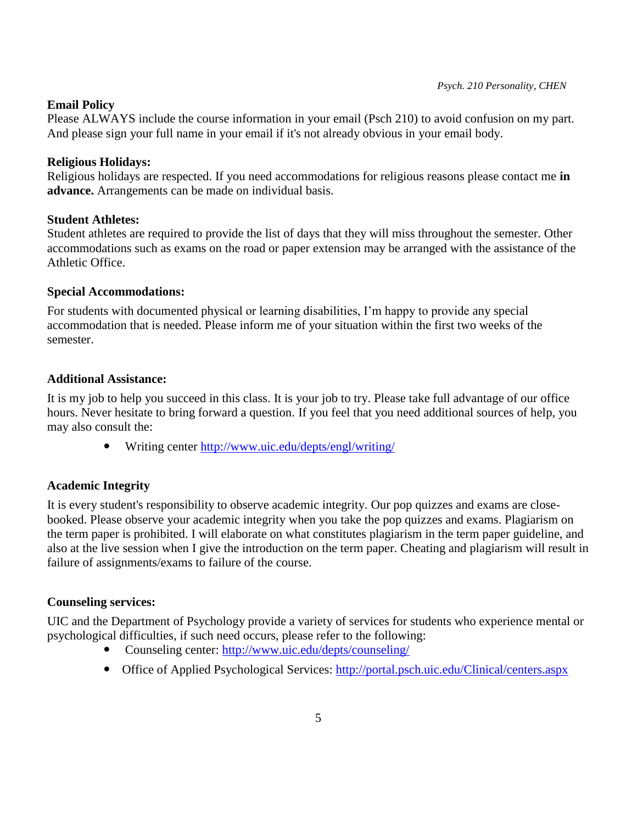## **Email Policy**

Please ALWAYS include the course information in your email (Psch 210) to avoid confusion on my part. And please sign your full name in your email if it's not already obvious in your email body.

## **Religious Holidays:**

Religious holidays are respected. If you need accommodations for religious reasons please contact me **in advance.** Arrangements can be made on individual basis.

## **Student Athletes:**

Student athletes are required to provide the list of days that they will miss throughout the semester. Other accommodations such as exams on the road or paper extension may be arranged with the assistance of the Athletic Office.

## **Special Accommodations:**

For students with documented physical or learning disabilities, I'm happy to provide any special accommodation that is needed. Please inform me of your situation within the first two weeks of the semester.

## **Additional Assistance:**

It is my job to help you succeed in this class. It is your job to try. Please take full advantage of our office hours. Never hesitate to bring forward a question. If you feel that you need additional sources of help, you may also consult the:

Writing center<http://www.uic.edu/depts/engl/writing/>

## **Academic Integrity**

It is every student's responsibility to observe academic integrity. Our pop quizzes and exams are closebooked. Please observe your academic integrity when you take the pop quizzes and exams. Plagiarism on the term paper is prohibited. I will elaborate on what constitutes plagiarism in the term paper guideline, and also at the live session when I give the introduction on the term paper. Cheating and plagiarism will result in failure of assignments/exams to failure of the course.

## **Counseling services:**

UIC and the Department of Psychology provide a variety of services for students who experience mental or psychological difficulties, if such need occurs, please refer to the following:

- Counseling center:<http://www.uic.edu/depts/counseling/>
- Office of Applied Psychological Services:<http://portal.psch.uic.edu/Clinical/centers.aspx>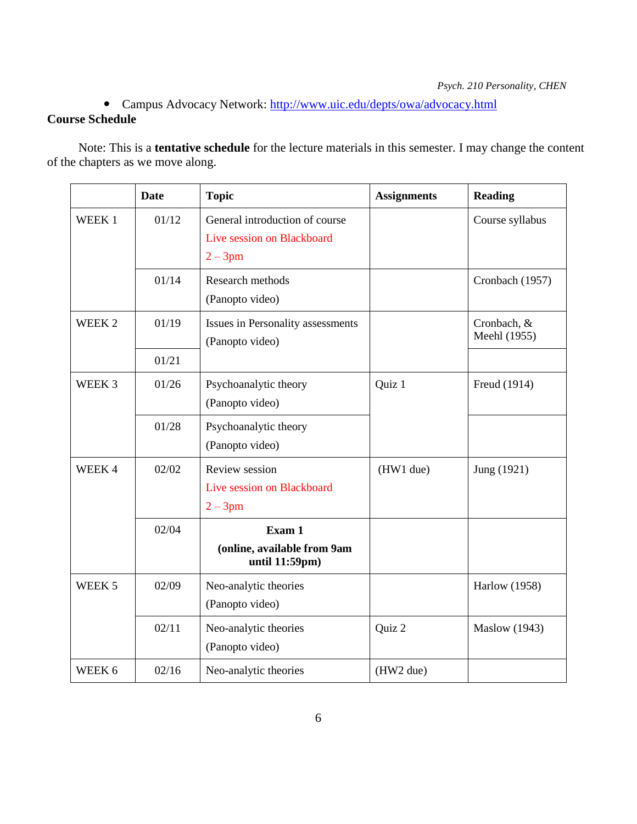# Campus Advocacy Network:<http://www.uic.edu/depts/owa/advocacy.html> **Course Schedule**

 Note: This is a **tentative schedule** for the lecture materials in this semester. I may change the content of the chapters as we move along.

|                   | <b>Date</b> | <b>Topic</b>                                                               | <b>Assignments</b> | <b>Reading</b>              |
|-------------------|-------------|----------------------------------------------------------------------------|--------------------|-----------------------------|
| WEEK <sub>1</sub> | 01/12       | General introduction of course<br>Live session on Blackboard<br>$2 - 3$ pm |                    | Course syllabus             |
|                   | 01/14       | Research methods<br>(Panopto video)                                        |                    | Cronbach (1957)             |
| WEEK <sub>2</sub> | 01/19       | Issues in Personality assessments<br>(Panopto video)                       |                    | Cronbach, &<br>Meehl (1955) |
|                   | 01/21       |                                                                            |                    |                             |
| WEEK <sub>3</sub> | 01/26       | Psychoanalytic theory<br>(Panopto video)                                   | Quiz 1             | Freud (1914)                |
|                   | 01/28       | Psychoanalytic theory<br>(Panopto video)                                   |                    |                             |
| WEEK4             | 02/02       | Review session<br>Live session on Blackboard<br>$2 - 3$ pm                 | (HW1 due)          | Jung (1921)                 |
|                   | 02/04       | Exam 1<br>(online, available from 9am<br>until 11:59pm)                    |                    |                             |
| WEEK 5            | 02/09       | Neo-analytic theories<br>(Panopto video)                                   |                    | <b>Harlow</b> (1958)        |
|                   | 02/11       | Neo-analytic theories<br>(Panopto video)                                   | Quiz 2             | <b>Maslow</b> (1943)        |
| WEEK 6            | 02/16       | Neo-analytic theories                                                      | (HW2 due)          |                             |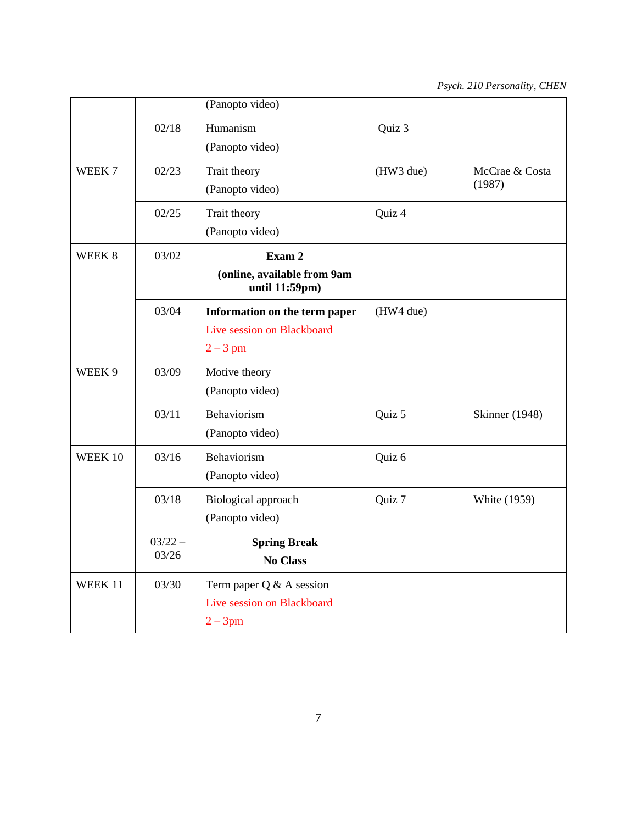|                   |                    | (Panopto video)                                                         |           |                          |
|-------------------|--------------------|-------------------------------------------------------------------------|-----------|--------------------------|
|                   | 02/18              | Humanism<br>(Panopto video)                                             | Quiz 3    |                          |
| WEEK <sub>7</sub> | 02/23              | Trait theory<br>(Panopto video)                                         | (HW3 due) | McCrae & Costa<br>(1987) |
|                   | 02/25              | Trait theory<br>(Panopto video)                                         | Quiz 4    |                          |
| WEEK <sub>8</sub> | 03/02              | Exam 2<br>(online, available from 9am<br>until 11:59pm)                 |           |                          |
|                   | 03/04              | Information on the term paper<br>Live session on Blackboard<br>$2-3$ pm | (HW4 due) |                          |
| WEEK 9            | 03/09              | Motive theory<br>(Panopto video)                                        |           |                          |
|                   | 03/11              | Behaviorism<br>(Panopto video)                                          | Quiz 5    | <b>Skinner</b> (1948)    |
| WEEK 10           | 03/16              | Behaviorism<br>(Panopto video)                                          | Quiz 6    |                          |
|                   | 03/18              | Biological approach<br>(Panopto video)                                  | Quiz 7    | <b>White (1959)</b>      |
|                   | $03/22 -$<br>03/26 | <b>Spring Break</b><br><b>No Class</b>                                  |           |                          |
| WEEK 11           | 03/30              | Term paper $Q & A$ session<br>Live session on Blackboard<br>$2 - 3pm$   |           |                          |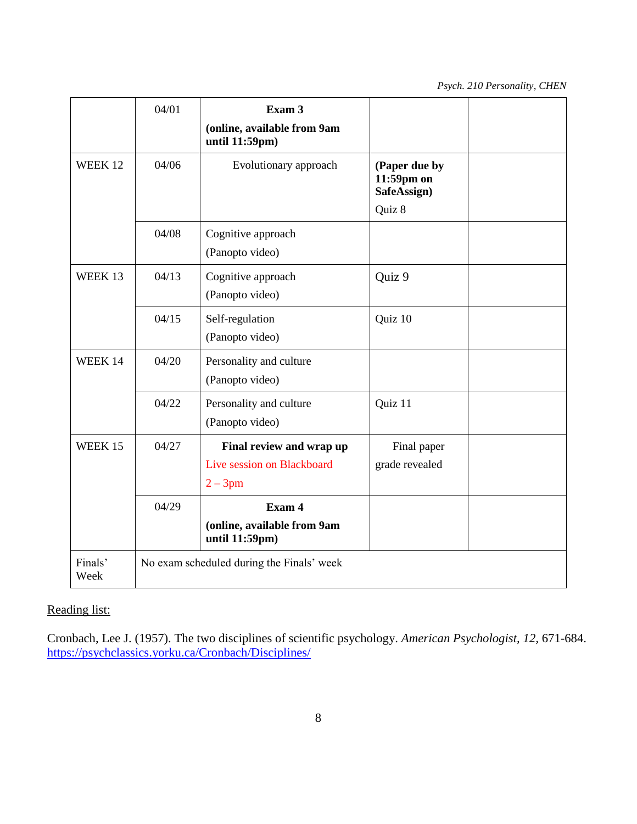*Psych. 210 Personality, CHEN*

|                    | 04/01                                     | Exam 3                                        |                                            |  |
|--------------------|-------------------------------------------|-----------------------------------------------|--------------------------------------------|--|
|                    |                                           | (online, available from 9am<br>until 11:59pm) |                                            |  |
| WEEK <sub>12</sub> | 04/06                                     | Evolutionary approach                         | (Paper due by<br>11:59pm on<br>SafeAssign) |  |
|                    |                                           |                                               | Quiz 8                                     |  |
|                    | 04/08                                     | Cognitive approach                            |                                            |  |
|                    |                                           | (Panopto video)                               |                                            |  |
| WEEK 13            | 04/13                                     | Cognitive approach                            | Quiz 9                                     |  |
|                    |                                           | (Panopto video)                               |                                            |  |
|                    | 04/15                                     | Self-regulation                               | Quiz 10                                    |  |
|                    |                                           | (Panopto video)                               |                                            |  |
| WEEK 14            | 04/20                                     | Personality and culture                       |                                            |  |
|                    |                                           | (Panopto video)                               |                                            |  |
|                    | 04/22                                     | Personality and culture                       | Quiz 11                                    |  |
|                    |                                           | (Panopto video)                               |                                            |  |
| WEEK 15            | 04/27                                     | Final review and wrap up                      | Final paper                                |  |
|                    |                                           | Live session on Blackboard                    | grade revealed                             |  |
|                    |                                           | $2 - 3pm$                                     |                                            |  |
|                    | 04/29                                     | Exam 4                                        |                                            |  |
|                    |                                           | (online, available from 9am<br>until 11:59pm) |                                            |  |
| Finals'<br>Week    | No exam scheduled during the Finals' week |                                               |                                            |  |

# Reading list:

Cronbach, Lee J. (1957). [The two disciplines of scientific psychology.](https://psychclassics.yorku.ca/Cronbach/Disciplines/) *American Psychologist, 12,* 671-684. <https://psychclassics.yorku.ca/Cronbach/Disciplines/>